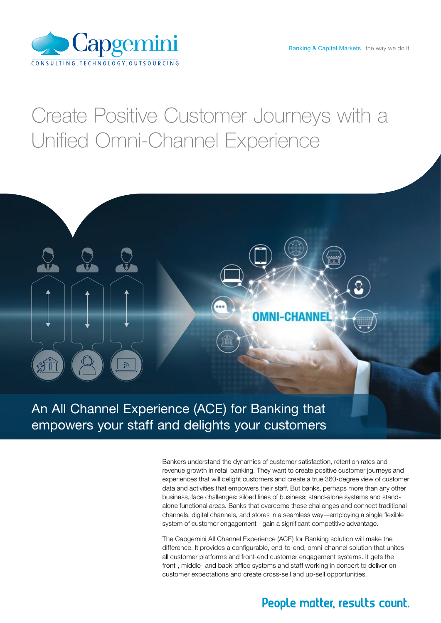

## Create Positive Customer Journeys with a Unified Omni-Channel Experience



## An All Channel Experience (ACE) for Banking that empowers your staff and delights your customers

Bankers understand the dynamics of customer satisfaction, retention rates and revenue growth in retail banking. They want to create positive customer journeys and experiences that will delight customers and create a true 360-degree view of customer data and activities that empowers their staff. But banks, perhaps more than any other business, face challenges: siloed lines of business; stand-alone systems and standalone functional areas. Banks that overcome these challenges and connect traditional channels, digital channels, and stores in a seamless way—employing a single flexible system of customer engagement—gain a significant competitive advantage.

The Capgemini All Channel Experience (ACE) for Banking solution will make the difference. It provides a configurable, end-to-end, omni-channel solution that unites all customer platforms and front-end customer engagement systems. It gets the front-, middle- and back-office systems and staff working in concert to deliver on customer expectations and create cross-sell and up-sell opportunities.

### People matter, results count.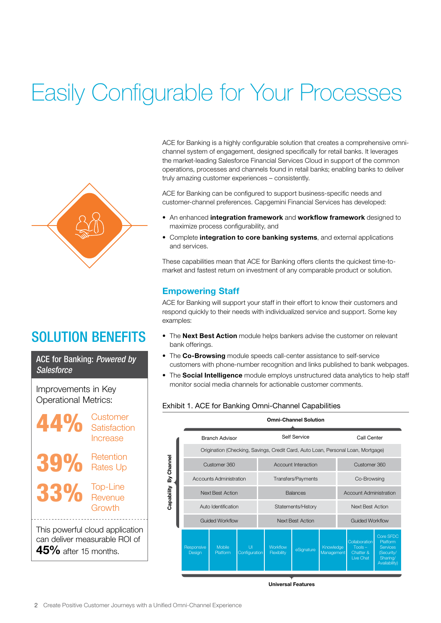## Easily Configurable for Your Processes



## SOLUTION BENEFITS

ACE for Banking: *Powered by Salesforce*

Improvements in Key Operational Metrics:



ACE for Banking is a highly configurable solution that creates a comprehensive omnichannel system of engagement, designed specifically for retail banks. It leverages the market-leading Salesforce Financial Services Cloud in support of the common operations, processes and channels found in retail banks; enabling banks to deliver truly amazing customer experiences – consistently.

ACE for Banking can be configured to support business-specific needs and customer-channel preferences. Capgemini Financial Services has developed:

- An enhanced integration framework and workflow framework designed to maximize process configurability, and
- Complete integration to core banking systems, and external applications and services.

These capabilities mean that ACE for Banking offers clients the quickest time-tomarket and fastest return on investment of any comparable product or solution.

#### Empowering Staff

ACE for Banking will support your staff in their effort to know their customers and respond quickly to their needs with individualized service and support. Some key examples:

- The Next Best Action module helps bankers advise the customer on relevant bank offerings.
- The Co-Browsing module speeds call-center assistance to self-service customers with phone-number recognition and links published to bank webpages.
- The Social Intelligence module employs unstructured data analytics to help staff monitor social media channels for actionable customer comments.

#### Exhibit 1. ACE for Banking Omni-Channel Capabilities

|                          | <b>Omni-Channel Solution</b>                                                     |                    |                    |                         |                                |            |                         |                               |                                                      |                                                                                     |
|--------------------------|----------------------------------------------------------------------------------|--------------------|--------------------|-------------------------|--------------------------------|------------|-------------------------|-------------------------------|------------------------------------------------------|-------------------------------------------------------------------------------------|
| By Channel<br>Capability | <b>Branch Advisor</b>                                                            |                    |                    | Self Service            |                                |            |                         | Call Center                   |                                                      |                                                                                     |
|                          | Origination (Checking, Savings, Credit Card, Auto Loan, Personal Loan, Mortgage) |                    |                    |                         |                                |            |                         |                               |                                                      |                                                                                     |
|                          | Customer 360                                                                     |                    |                    | Account Interaction     |                                |            |                         | Customer 360                  |                                                      |                                                                                     |
|                          | Accounts Administration                                                          |                    |                    | Transfers/Payments      |                                |            |                         | Co-Browsing                   |                                                      |                                                                                     |
|                          | <b>Next Best Action</b>                                                          |                    |                    | <b>Balances</b>         |                                |            |                         | <b>Account Administration</b> |                                                      |                                                                                     |
|                          | Auto Identification                                                              |                    |                    | Statements/History      |                                |            |                         | <b>Next Best Action</b>       |                                                      |                                                                                     |
|                          | <b>Guided Workflow</b>                                                           |                    |                    | <b>Next Best Action</b> |                                |            |                         | <b>Guided Workflow</b>        |                                                      |                                                                                     |
|                          | Responsive<br>Design                                                             | Mobile<br>Platform | U<br>Configuration |                         | <b>Workflow</b><br>Flexibility | eSignature | Knowledge<br>Management |                               | Collaboration<br>$Tools -$<br>Chatter &<br>Live Chat | Core SFDC<br>Platform<br><b>Services</b><br>(Security/<br>Sharing/<br>Availability) |

Universal Features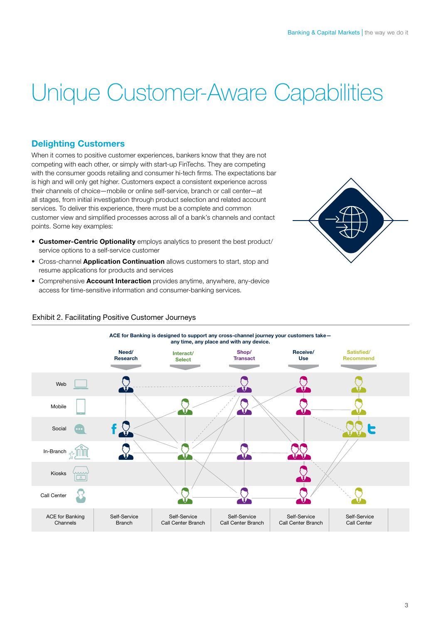# Unique Customer-Aware Capabilities

#### Delighting Customers

When it comes to positive customer experiences, bankers know that they are not competing with each other, or simply with start-up FinTechs. They are competing with the consumer goods retailing and consumer hi-tech firms. The expectations bar is high and will only get higher. Customers expect a consistent experience across their channels of choice—mobile or online self-service, branch or call center—at all stages, from initial investigation through product selection and related account services. To deliver this experience, there must be a complete and common customer view and simplified processes across all of a bank's channels and contact points. Some key examples:

- Customer-Centric Optionality employs analytics to present the best product/ service options to a self-service customer
- Cross-channel Application Continuation allows customers to start, stop and resume applications for products and services
- Comprehensive **Account Interaction** provides anytime, anywhere, any-device access for time-sensitive information and consumer-banking services.



#### Exhibit 2. Facilitating Positive Customer Journeys